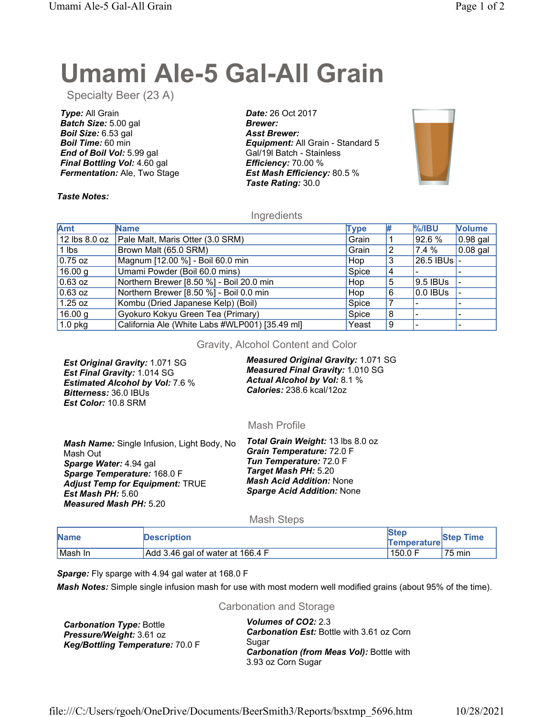# Umami Ale-5 Gal-All Grain

Specialty Beer (23 A)

Type: All Grain Batch Size: 5.00 gal Boil Size: 6.53 gal Boil Time: 60 min End of Boil Vol: 5.99 gal Final Bottling Vol: 4.60 gal **Fermentation: Ale, Two Stage** 

Date: 26 Oct 2017 Brewer: Asst Brewer: **Equipment:** All Grain - Standard 5 Gal/19l Batch - Stainless Efficiency: 70.00 % Est Mash Efficiency: 80.5 % Taste Rating: 30.0



### Taste Notes:

# **Ingredients**

| Amt               | <b>Name</b>                                    | <b>Type</b> | #  | $%$ /IBU    | <b>Volume</b> |
|-------------------|------------------------------------------------|-------------|----|-------------|---------------|
| $12$ lbs $8.0$ oz | Pale Malt, Maris Otter (3.0 SRM)               | Grain       |    | 92.6 %      | $0.98$ gal    |
| $1$ lbs           | Brown Malt (65.0 SRM)                          | Grain       | 12 | 7.4 %       | $0.08$ gal    |
| $0.75$ oz         | Magnum [12.00 %] - Boil 60.0 min               | Hop         | 3  | 26.5 IBUs - |               |
| 16.00 g           | Umami Powder (Boil 60.0 mins)                  | Spice       |    |             |               |
| $0.63$ oz         | Northern Brewer [8.50 %] - Boil 20.0 min       | Hop         | 5  | 9.5 IBUs    |               |
| $0.63$ oz         | Northern Brewer [8.50 %] - Boil 0.0 min        | Hop         | 6  | $0.0$ IBUs  |               |
| $1.25$ oz         | Kombu (Dried Japanese Kelp) (Boil)             | Spice       |    |             |               |
| 16.00 g           | Gyokuro Kokyu Green Tea (Primary)              | Spice       | 8  |             |               |
| $1.0$ pkg         | California Ale (White Labs #WLP001) [35.49 ml] | Yeast       | 9  |             |               |

Gravity, Alcohol Content and Color

Est Original Gravity: 1.071 SG Est Final Gravity: 1.014 SG Estimated Alcohol by Vol: 7.6 % Bitterness: 36.0 IBUs Est Color: 10.8 SRM

Measured Original Gravity: 1.071 SG Measured Final Gravity: 1.010 SG Actual Alcohol by Vol: 8.1 % Calories: 238.6 kcal/12oz

# Mash Profile

Mash Name: Single Infusion, Light Body, No Mash Out Sparge Water: 4.94 gal Sparge Temperature: 168.0 F Adjust Temp for Equipment: TRUE Est Mash PH: 5.60 Measured Mash PH: 5.20

Total Grain Weight: 13 lbs 8.0 oz Grain Temperature: 72.0 F Tun Temperature: 72.0 F Target Mash PH: 5.20 **Mash Acid Addition: None** Sparge Acid Addition: None

# Mash Steps

| <b>Name</b> | <b>Description</b>               | <b>Ster</b><br><b>Temperature</b> | <b>Step Time</b> |
|-------------|----------------------------------|-----------------------------------|------------------|
| ⊺Mash In    | Add 3.46 gal of water at 166.4 F | 150.0 F                           | 75 min           |

Sparge: Fly sparge with 4.94 gal water at 168.0 F

Mash Notes: Simple single infusion mash for use with most modern well modified grains (about 95% of the time).

#### Carbonation and Storage

| <b>Carbonation Type: Bottle</b>  |
|----------------------------------|
| Pressure/Weight: 3.61 oz         |
| Keg/Bottling Temperature: 70.0 F |

Volumes of CO2: 2.3 Carbonation Est: Bottle with 3.61 oz Corn Sugar Carbonation (from Meas Vol): Bottle with 3.93 oz Corn Sugar

file:///C:/Users/rgoeh/OneDrive/Documents/BeerSmith3/Reports/bsxtmp\_5696.htm 10/28/2021